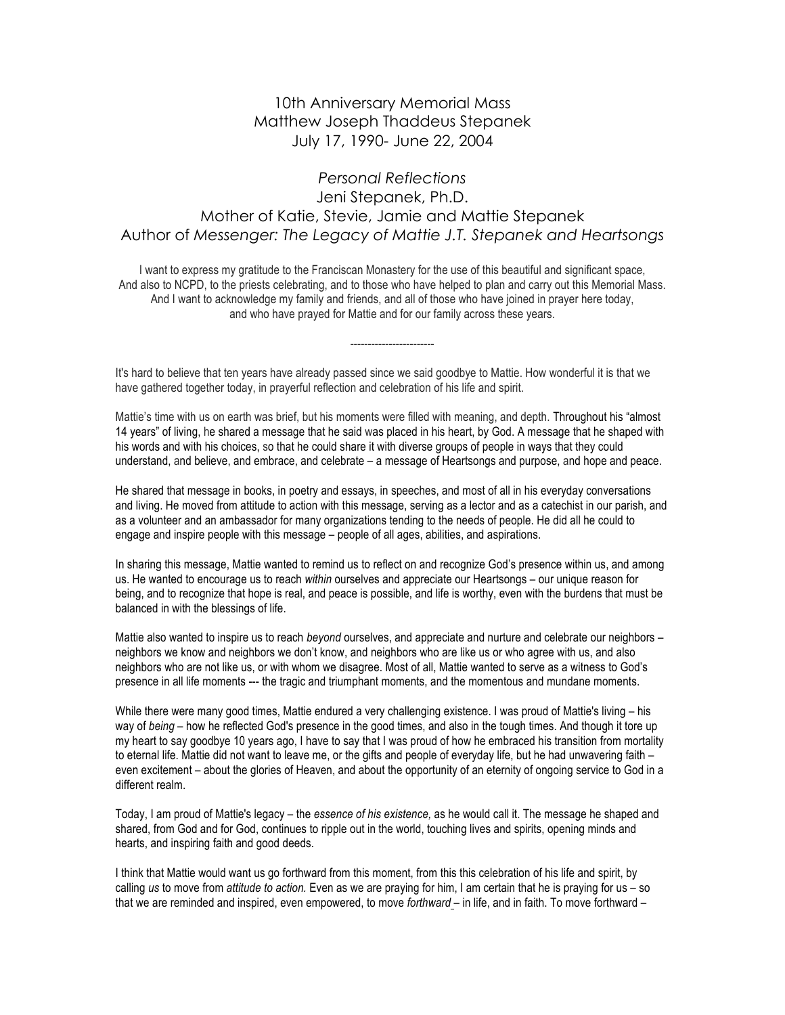## 10th Anniversary Memorial Mass Matthew Joseph Thaddeus Stepanek July 17, 1990- June 22, 2004

## *Personal Reflections* Jeni Stepanek, Ph.D. Mother of Katie, Stevie, Jamie and Mattie Stepanek Author of *Messenger: The Legacy of Mattie J.T. Stepanek and Heartsongs*

I want to express my gratitude to the Franciscan Monastery for the use of this beautiful and significant space, And also to NCPD, to the priests celebrating, and to those who have helped to plan and carry out this Memorial Mass. And I want to acknowledge my family and friends, and all of those who have joined in prayer here today, and who have prayed for Mattie and for our family across these years.

------------------------

It's hard to believe that ten years have already passed since we said goodbye to Mattie. How wonderful it is that we have gathered together today, in prayerful reflection and celebration of his life and spirit.

Mattie's time with us on earth was brief, but his moments were filled with meaning, and depth. Throughout his "almost 14 years" of living, he shared a message that he said was placed in his heart, by God. A message that he shaped with his words and with his choices, so that he could share it with diverse groups of people in ways that they could understand, and believe, and embrace, and celebrate – a message of Heartsongs and purpose, and hope and peace.

He shared that message in books, in poetry and essays, in speeches, and most of all in his everyday conversations and living. He moved from attitude to action with this message, serving as a lector and as a catechist in our parish, and as a volunteer and an ambassador for many organizations tending to the needs of people. He did all he could to engage and inspire people with this message – people of all ages, abilities, and aspirations.

In sharing this message, Mattie wanted to remind us to reflect on and recognize God's presence within us, and among us. He wanted to encourage us to reach *within* ourselves and appreciate our Heartsongs – our unique reason for being, and to recognize that hope is real, and peace is possible, and life is worthy, even with the burdens that must be balanced in with the blessings of life.

Mattie also wanted to inspire us to reach *beyond* ourselves, and appreciate and nurture and celebrate our neighbors – neighbors we know and neighbors we don't know, and neighbors who are like us or who agree with us, and also neighbors who are not like us, or with whom we disagree. Most of all, Mattie wanted to serve as a witness to God's presence in all life moments --- the tragic and triumphant moments, and the momentous and mundane moments.

While there were many good times, Mattie endured a very challenging existence. I was proud of Mattie's living – his way of *being* – how he reflected God's presence in the good times, and also in the tough times. And though it tore up my heart to say goodbye 10 years ago, I have to say that I was proud of how he embraced his transition from mortality to eternal life. Mattie did not want to leave me, or the gifts and people of everyday life, but he had unwavering faith – even excitement – about the glories of Heaven, and about the opportunity of an eternity of ongoing service to God in a different realm.

Today, I am proud of Mattie's legacy – the *essence of his existence,* as he would call it. The message he shaped and shared, from God and for God, continues to ripple out in the world, touching lives and spirits, opening minds and hearts, and inspiring faith and good deeds.

I think that Mattie would want us go forthward from this moment, from this this celebration of his life and spirit, by calling *us* to move from *attitude to action.* Even as we are praying for him, I am certain that he is praying for us – so that we are reminded and inspired, even empowered, to move *forthward* – in life, and in faith. To move forthward –